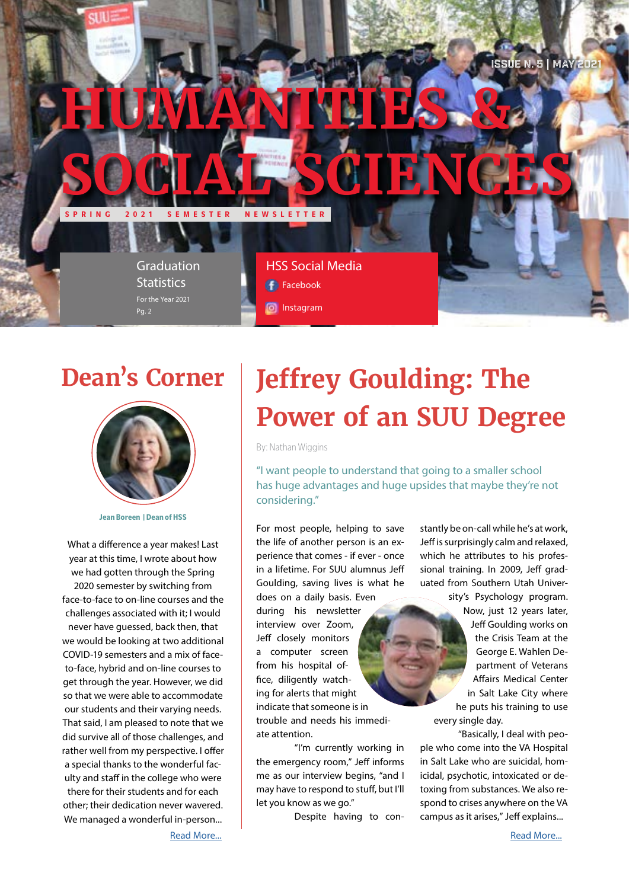

### **Dean's Corner**



**Jean Boreen | Dean of HSS**

What a difference a year makes! Last year at this time, I wrote about how we had gotten through the Spring 2020 semester by switching from face-to-face to on-line courses and the challenges associated with it; I would never have guessed, back then, that we would be looking at two additional COVID-19 semesters and a mix of faceto-face, hybrid and on-line courses to get through the year. However, we did so that we were able to accommodate our students and their varying needs. That said, I am pleased to note that we did survive all of those challenges, and rather well from my perspective. I offer a special thanks to the wonderful faculty and staff in the college who were there for their students and for each other; their dedication never wavered. We managed a wonderful in-person...

# **Jeffrey Goulding: The Power of an SUU Degree**

By: Nathan Wiggins

"I want people to understand that going to a smaller school has huge advantages and huge upsides that maybe they're not considering."

For most people, helping to save the life of another person is an experience that comes - if ever - once in a lifetime. For SUU alumnus Jeff Goulding, saving lives is what he does on a daily basis. Even during his newsletter interview over Zoom, Jeff closely monitors a computer screen from his hospital office, diligently watching for alerts that might indicate that someone is in trouble and needs his immediate attention.

"I'm currently working in the emergency room," Jeff informs me as our interview begins, "and I may have to respond to stuff, but I'll let you know as we go."

Despite having to con-

stantly be on-call while he's at work, Jeff is surprisingly calm and relaxed, which he attributes to his professional training. In 2009, Jeff graduated from Southern Utah University's Psychology program.

Now, just 12 years later, Jeff Goulding works on the Crisis Team at the George E. Wahlen Department of Veterans Affairs Medical Center in Salt Lake City where he puts his training to use every single day.

"Basically, I deal with people who come into the VA Hospital in Salt Lake who are suicidal, homicidal, psychotic, intoxicated or detoxing from substances. We also respond to crises anywhere on the VA campus as it arises," Jeff explains...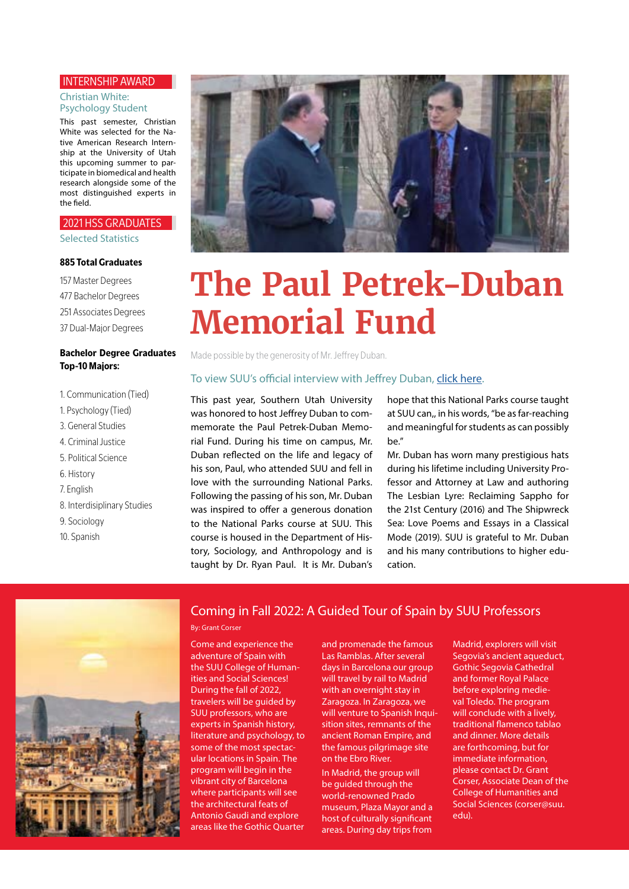#### INTERNSHIP AWARD

#### Christian White: Psychology Student

This past semester, Christian White was selected for the Native American Research Internship at the University of Utah this upcoming summer to participate in biomedical and health research alongside some of the most distinguished experts in the field.

### 2021 HSS GRADUATES

Selected Statistics

#### **885 Total Graduates**

157 Master Degrees 477 Bachelor Degrees 251 Associates Degrees 37 Dual-Major Degrees

### **Bachelor Degree Graduates Top-10 Majors:**

- 1. Communication (Tied)
- 1. Psychology (Tied)
- 3. General Studies
- 4. Criminal Justice
- 5. Political Science
- 6. History
- 7. English
- 8. Interdisiplinary Studies
- 9. Sociology
- 10. Spanish



# **The Paul Petrek-Duban Memorial Fund**

Made possible by the generosity of Mr. Jeffrey Duban.

### To view SUU's official interview with Jeffrey Duban, [click here](https://www.youtube.com/watch?v=KNGADtToqnU).

This past year, Southern Utah University was honored to host Jeffrey Duban to commemorate the Paul Petrek-Duban Memorial Fund. During his time on campus, Mr. Duban reflected on the life and legacy of his son, Paul, who attended SUU and fell in love with the surrounding National Parks. Following the passing of his son, Mr. Duban was inspired to offer a generous donation to the National Parks course at SUU. This course is housed in the Department of History, Sociology, and Anthropology and is taught by Dr. Ryan Paul. It is Mr. Duban's

hope that this National Parks course taught at SUU can,, in his words, "be as far-reaching and meaningful for students as can possibly be."

Mr. Duban has worn many prestigious hats during his lifetime including University Professor and Attorney at Law and authoring The Lesbian Lyre: Reclaiming Sappho for the 21st Century (2016) and The Shipwreck Sea: Love Poems and Essays in a Classical Mode (2019). SUU is grateful to Mr. Duban and his many contributions to higher education.



### Coming in Fall 2022: A Guided Tour of Spain by SUU Professors

#### By: Grant Corser

Come and experience the adventure of Spain with the SUU College of Humanities and Social Sciences! During the fall of 2022, travelers will be guided by SUU professors, who are experts in Spanish history, literature and psychology, to some of the most spectacular locations in Spain. The program will begin in the vibrant city of Barcelona where participants will see the architectural feats of Antonio Gaudi and explore areas like the Gothic Quarter

and promenade the famous Las Ramblas. After several days in Barcelona our group will travel by rail to Madrid with an overnight stay in Zaragoza. In Zaragoza, we will venture to Spanish Inquisition sites, remnants of the ancient Roman Empire, and the famous pilgrimage site on the Ebro River.

In Madrid, the group will be guided through the world-renowned Prado museum, Plaza Mayor and a host of culturally significant areas. During day trips from

Madrid, explorers will visit Segovia's ancient aqueduct, Gothic Segovia Cathedral and former Royal Palace before exploring medieval Toledo. The program will conclude with a lively, traditional flamenco tablao and dinner. More details are forthcoming, but for immediate information, please contact Dr. Grant Corser, Associate Dean of the College of Humanities and Social Sciences (corser@suu. edu).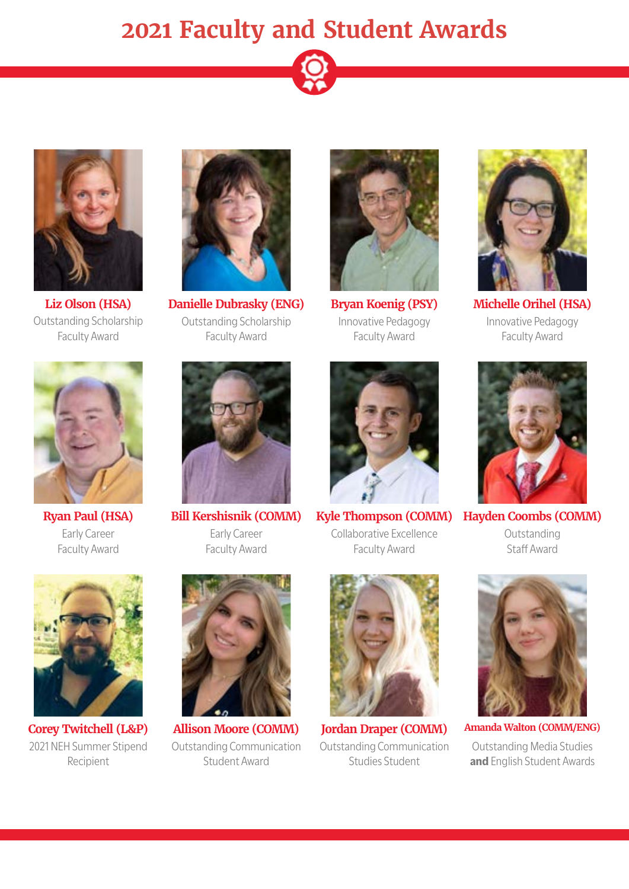



**Liz Olson (HSA)** Outstanding Scholarship Faculty Award



**Danielle Dubrasky (ENG)** Outstanding Scholarship Faculty Award



**Bryan Koenig (PSY)** Innovative Pedagogy Faculty Award



**Michelle Orihel (HSA)** Innovative Pedagogy Faculty Award



**Ryan Paul (HSA)** Early Career Faculty Award



**Bill Kershisnik (COMM)** Early Career Faculty Award



**Kyle Thompson (COMM)** Collaborative Excellence Faculty Award



**Hayden Coombs (COMM)** Outstanding Staff Award



**Corey Twitchell (L&P)** 2021 NEH Summer Stipend Recipient



**Allison Moore (COMM)** Outstanding Communication Student Award



**Jordan Draper (COMM)** Outstanding Communication Studies Student



**Amanda Walton (COMM/ENG)** Outstanding Media Studies **and** English Student Awards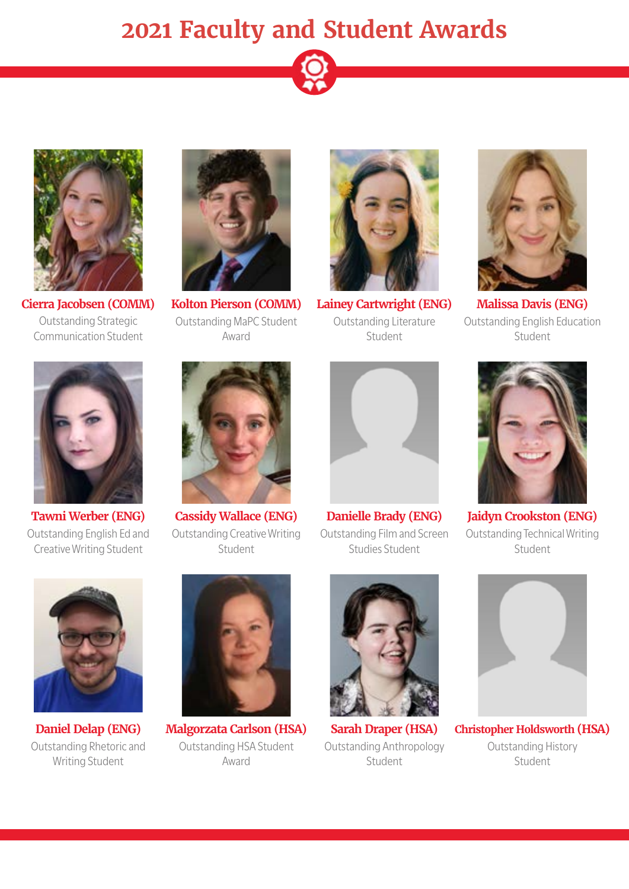



**Cierra Jacobsen (COMM)** Outstanding Strategic Communication Student



**Kolton Pierson (COMM)** Outstanding MaPC Student Award



**Lainey Cartwright (ENG)** Outstanding Literature Student



**Malissa Davis (ENG)** Outstanding English Education Student



**Tawni Werber (ENG)** Outstanding English Ed and Creative Writing Student



**Cassidy Wallace (ENG)** Outstanding Creative Writing Student



**Danielle Brady (ENG)** Outstanding Film and Screen Studies Student



**Jaidyn Crookston (ENG)** Outstanding Technical Writing Student



**Daniel Delap (ENG)** Outstanding Rhetoric and Writing Student



**Malgorzata Carlson (HSA)** Outstanding HSA Student Award



**Sarah Draper (HSA)** Outstanding Anthropology Student



**Christopher Holdsworth (HSA)** Outstanding History Student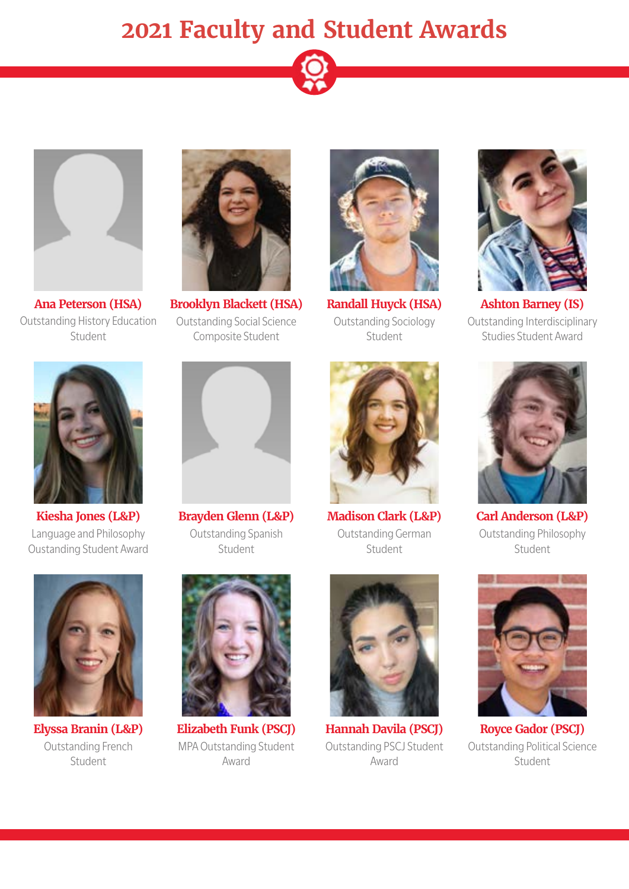



**Ana Peterson (HSA)** Outstanding History Education Student



**Brooklyn Blackett (HSA)** Outstanding Social Science Composite Student



**Randall Huyck (HSA)** Outstanding Sociology Student



**Ashton Barney (IS)** Outstanding Interdisciplinary Studies Student Award



**Kiesha Jones (L&P)** Language and Philosophy Oustanding Student Award



**Brayden Glenn (L&P)** Outstanding Spanish Student



**Madison Clark (L&P)** Outstanding German Student



**Carl Anderson (L&P)** Outstanding Philosophy Student



**Elyssa Branin (L&P)** Outstanding French Student



**Elizabeth Funk (PSCJ)** MPA Outstanding Student Award



**Hannah Davila (PSCJ)** Outstanding PSCJ Student Award



**Royce Gador (PSCJ)** Outstanding Political Science Student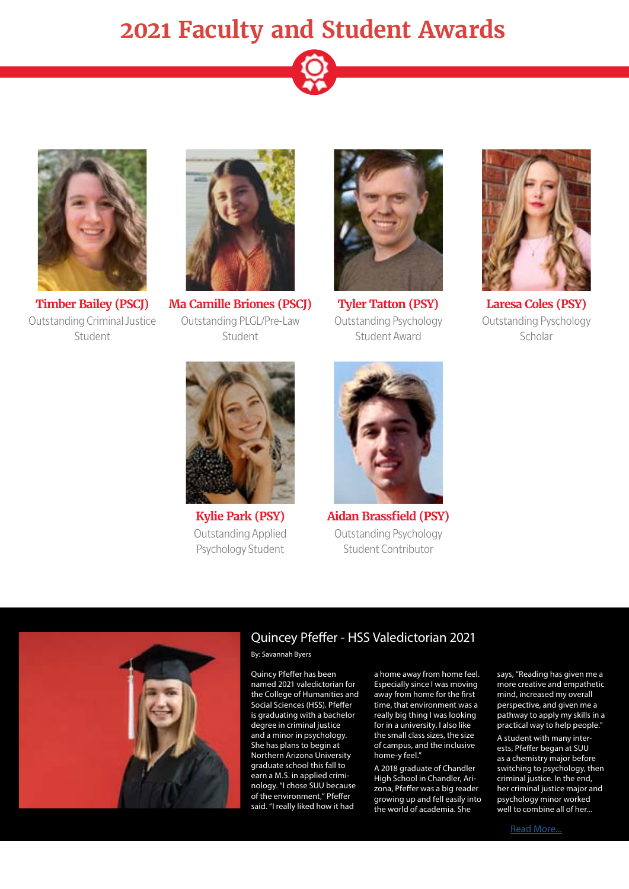



Outstanding Criminal Justice Student



**Timber Bailey (PSCJ) Ma Camille Briones (PSCJ)** Outstanding PLGL/Pre-Law Student



**Tyler Tatton (PSY)** Outstanding Psychology Student Award



**Laresa Coles (PSY)** Outstanding Pyschology Scholar



**Kylie Park (PSY)** Outstanding Applied Psychology Student



**Aidan Brassfield (PSY)** Outstanding Psychology Student Contributor



### Quincey Pfeffer - HSS Valedictorian 2021

By: Savannah Byers

Quincy Pfeffer has been named 2021 valedictorian for the College of Humanities and Social Sciences (HSS). Pfeffer is graduating with a bachelor degree in criminal justice and a minor in psychology. She has plans to begin at Northern Arizona University graduate school this fall to earn a M.S. in applied criminology. "I chose SUU because of the environment," Pfeffer said. "I really liked how it had

a home away from home feel. Especially since I was moving away from home for the first time, that environment was a really big thing I was looking for in a university. I also like the small class sizes, the size of campus, and the inclusive home-y feel."

A 2018 graduate of Chandler High School in Chandler, Arizona, Pfeffer was a big reader growing up and fell easily into the world of academia. She

says, "Reading has given me a more creative and empathetic mind, increased my overall perspective, and given me a pathway to apply my skills in a practical way to help people."

A student with many interests, Pfeffer began at SUU as a chemistry major before switching to psychology, then criminal justice. In the end, her criminal justice major and psychology minor worked well to combine all of her...